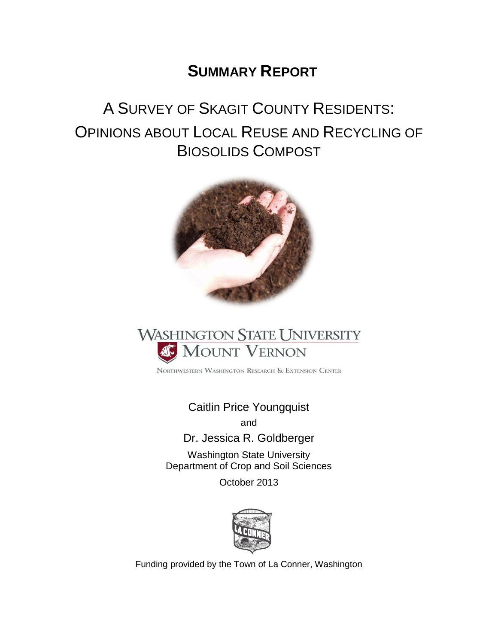# **SUMMARY REPORT**

# A SURVEY OF SKAGIT COUNTY RESIDENTS: OPINIONS ABOUT LOCAL REUSE AND RECYCLING OF BIOSOLIDS COMPOST





NORTHWESTERN WASHINGTON RESEARCH & EXTENSION CENTER

Caitlin Price Youngquist and

Dr. Jessica R. Goldberger

Washington State University Department of Crop and Soil Sciences

October 2013



Funding provided by the Town of La Conner, Washington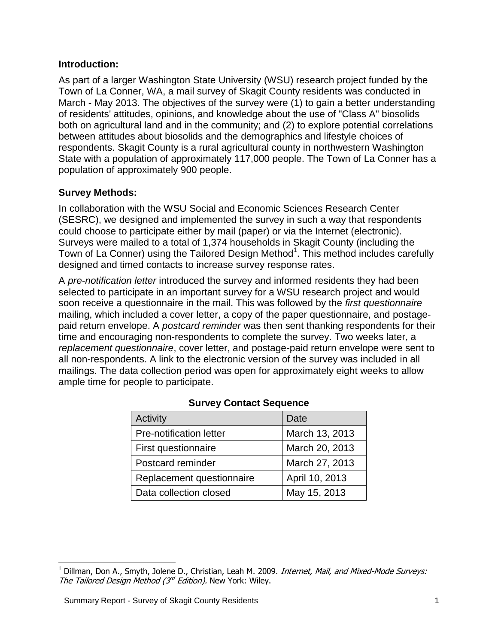#### **Introduction:**

As part of a larger Washington State University (WSU) research project funded by the Town of La Conner, WA, a mail survey of Skagit County residents was conducted in March - May 2013. The objectives of the survey were (1) to gain a better understanding of residents' attitudes, opinions, and knowledge about the use of "Class A" biosolids both on agricultural land and in the community; and (2) to explore potential correlations between attitudes about biosolids and the demographics and lifestyle choices of respondents. Skagit County is a rural agricultural county in northwestern Washington State with a population of approximately 117,000 people. The Town of La Conner has a population of approximately 900 people.

#### **Survey Methods:**

In collaboration with the WSU Social and Economic Sciences Research Center (SESRC), we designed and implemented the survey in such a way that respondents could choose to participate either by mail (paper) or via the Internet (electronic). Surveys were mailed to a total of 1,374 households in Skagit County (including the Town of La Conner) using the Tailored Design Method<sup>1</sup>. This method includes carefully designed and timed contacts to increase survey response rates.

A *pre-notification letter* introduced the survey and informed residents they had been selected to participate in an important survey for a WSU research project and would soon receive a questionnaire in the mail. This was followed by the *first questionnaire* mailing, which included a cover letter, a copy of the paper questionnaire, and postagepaid return envelope. A *postcard reminder* was then sent thanking respondents for their time and encouraging non-respondents to complete the survey. Two weeks later, a *replacement questionnaire*, cover letter, and postage-paid return envelope were sent to all non-respondents. A link to the electronic version of the survey was included in all mailings. The data collection period was open for approximately eight weeks to allow ample time for people to participate.

| Activity                  | Date           |
|---------------------------|----------------|
| Pre-notification letter   | March 13, 2013 |
| First questionnaire       | March 20, 2013 |
| Postcard reminder         | March 27, 2013 |
| Replacement questionnaire | April 10, 2013 |
| Data collection closed    | May 15, 2013   |

#### **Survey Contact Sequence**

 $\overline{a}$ 

 $1$  Dillman, Don A., Smyth, Jolene D., Christian, Leah M. 2009. *Internet, Mail, and Mixed-Mode Surveys:* The Tailored Design Method ( $3<sup>rd</sup>$  Edition). New York: Wiley.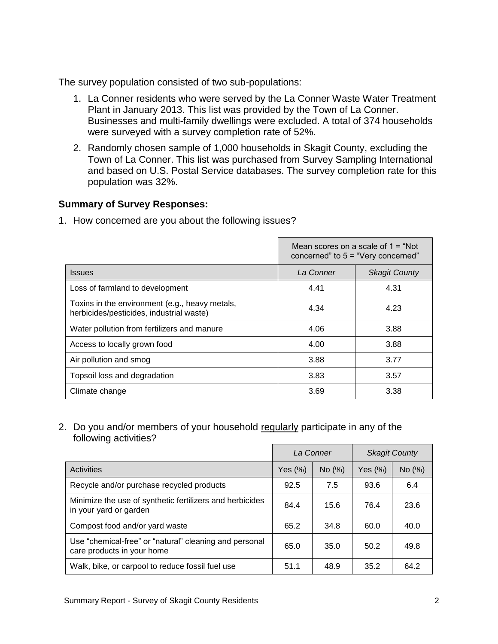The survey population consisted of two sub-populations:

- 1. La Conner residents who were served by the La Conner Waste Water Treatment Plant in January 2013. This list was provided by the Town of La Conner. Businesses and multi-family dwellings were excluded. A total of 374 households were surveyed with a survey completion rate of 52%.
- 2. Randomly chosen sample of 1,000 households in Skagit County, excluding the Town of La Conner. This list was purchased from Survey Sampling International and based on U.S. Postal Service databases. The survey completion rate for this population was 32%.

#### **Summary of Survey Responses:**

1. How concerned are you about the following issues?

|                                                                                            | Mean scores on a scale of $1 = "Not"$<br>concerned" to $5 =$ "Very concerned" |                      |  |
|--------------------------------------------------------------------------------------------|-------------------------------------------------------------------------------|----------------------|--|
| <b>Issues</b>                                                                              | La Conner                                                                     | <b>Skagit County</b> |  |
| Loss of farmland to development                                                            | 4.41                                                                          | 4.31                 |  |
| Toxins in the environment (e.g., heavy metals,<br>herbicides/pesticides, industrial waste) | 4.34                                                                          | 4.23                 |  |
| Water pollution from fertilizers and manure                                                | 4.06                                                                          | 3.88                 |  |
| Access to locally grown food                                                               | 4.00                                                                          | 3.88                 |  |
| Air pollution and smog                                                                     | 3.88                                                                          | 3.77                 |  |
| Topsoil loss and degradation                                                               | 3.83                                                                          | 3.57                 |  |
| Climate change                                                                             | 3.69                                                                          | 3.38                 |  |

2. Do you and/or members of your household regularly participate in any of the following activities?

|                                                                                      | La Conner  |        |            | <b>Skagit County</b> |
|--------------------------------------------------------------------------------------|------------|--------|------------|----------------------|
| Activities                                                                           | Yes $(\%)$ | No (%) | Yes $(\%)$ | No $(%)$             |
| Recycle and/or purchase recycled products                                            | 92.5       | 7.5    | 93.6       | 6.4                  |
| Minimize the use of synthetic fertilizers and herbicides<br>in your yard or garden   | 84.4       | 15.6   | 76.4       | 23.6                 |
| Compost food and/or yard waste                                                       | 65.2       | 34.8   | 60.0       | 40.0                 |
| Use "chemical-free" or "natural" cleaning and personal<br>care products in your home | 65.0       | 35.0   | 50.2       | 49.8                 |
| Walk, bike, or carpool to reduce fossil fuel use                                     | 51.1       | 48.9   | 35.2       | 64.2                 |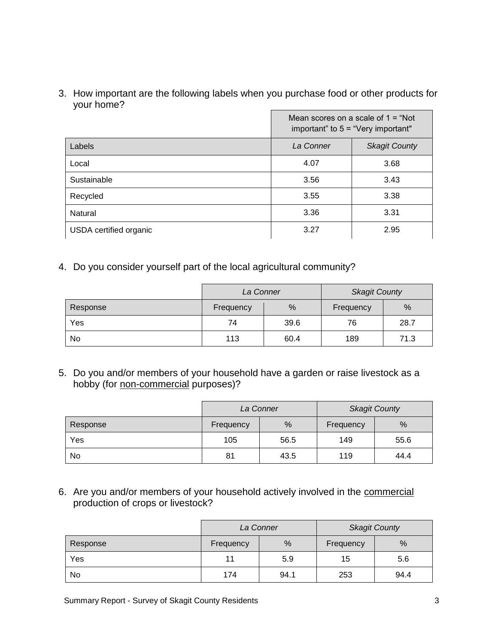3. How important are the following labels when you purchase food or other products for your home?

|                        | Mean scores on a scale of $1 = "Not"$<br>important" to $5 =$ "Very important" |      |  |  |
|------------------------|-------------------------------------------------------------------------------|------|--|--|
| Labels                 | La Conner<br><b>Skagit County</b>                                             |      |  |  |
| Local                  | 4.07                                                                          | 3.68 |  |  |
| Sustainable            | 3.56                                                                          | 3.43 |  |  |
| Recycled               | 3.55                                                                          | 3.38 |  |  |
| Natural                | 3.36                                                                          | 3.31 |  |  |
| USDA certified organic | 3.27                                                                          | 2.95 |  |  |

4. Do you consider yourself part of the local agricultural community?

|          | La Conner |      | <b>Skagit County</b> |      |
|----------|-----------|------|----------------------|------|
| Response | Frequency | %    | Frequency            | %    |
| Yes      | 74        | 39.6 | 76                   | 28.7 |
| No       | 113       | 60.4 | 189                  | 71.3 |

5. Do you and/or members of your household have a garden or raise livestock as a hobby (for non-commercial purposes)?

|          | La Conner |      |           | <b>Skagit County</b> |
|----------|-----------|------|-----------|----------------------|
| Response | Frequency | %    | Frequency | $\frac{0}{0}$        |
| Yes      | 105       | 56.5 | 149       | 55.6                 |
| No       | 81        | 43.5 | 119       | 44.4                 |

6. Are you and/or members of your household actively involved in the commercial production of crops or livestock?

|          | La Conner |      |           | <b>Skagit County</b> |
|----------|-----------|------|-----------|----------------------|
| Response | Frequency | %    | Frequency | %                    |
| Yes      | 11        | 5.9  | 15        | 5.6                  |
| No       | 174       | 94.1 | 253       | 94.4                 |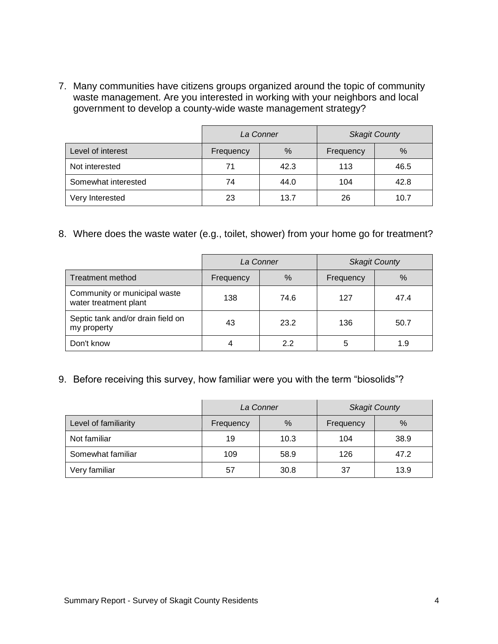7. Many communities have citizens groups organized around the topic of community waste management. Are you interested in working with your neighbors and local government to develop a county-wide waste management strategy?

|                     | La Conner |      |           | <b>Skagit County</b> |
|---------------------|-----------|------|-----------|----------------------|
| Level of interest   | Frequency | %    | Frequency | %                    |
| Not interested      | 71        | 42.3 | 113       | 46.5                 |
| Somewhat interested | 74        | 44.0 | 104       | 42.8                 |
| Very Interested     | 23        | 13.7 | 26        | 10.7                 |

8. Where does the waste water (e.g., toilet, shower) from your home go for treatment?

|                                                       | La Conner |      | <b>Skagit County</b> |      |
|-------------------------------------------------------|-----------|------|----------------------|------|
| <b>Treatment method</b>                               | Frequency | $\%$ | Frequency            | %    |
| Community or municipal waste<br>water treatment plant | 138       | 74.6 | 127                  | 47.4 |
| Septic tank and/or drain field on<br>my property      | 43        | 23.2 | 136                  | 50.7 |
| Don't know                                            |           | 22   | 5                    | 1.9  |

9. Before receiving this survey, how familiar were you with the term "biosolids"?

|                      | La Conner |      |           | <b>Skagit County</b> |
|----------------------|-----------|------|-----------|----------------------|
| Level of familiarity | Frequency | %    | Frequency | %                    |
| Not familiar         | 19        | 10.3 | 104       | 38.9                 |
| Somewhat familiar    | 109       | 58.9 | 126       | 47.2                 |
| Very familiar        | 57        | 30.8 | 37        | 13.9                 |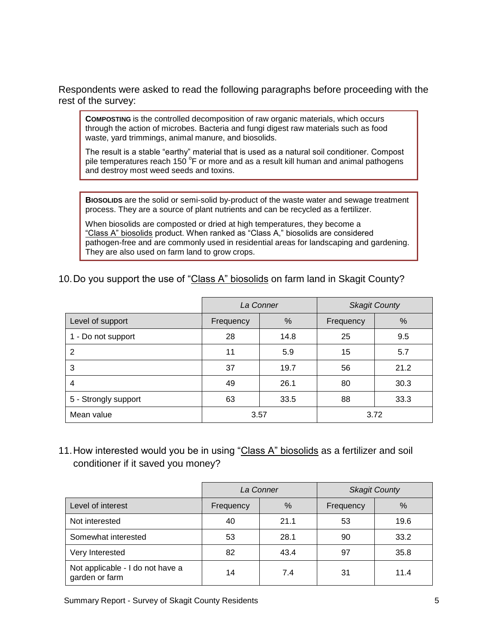Respondents were asked to read the following paragraphs before proceeding with the rest of the survey:

**COMPOSTING** is the controlled decomposition of raw organic materials, which occurs through the action of microbes. Bacteria and fungi digest raw materials such as food waste, yard trimmings, animal manure, and biosolids.

The result is a stable "earthy" material that is used as a natural soil conditioner. Compost pile temperatures reach 150  $\mathrm{^{\circ}F}$  or more and as a result kill human and animal pathogens and destroy most weed seeds and toxins.

**BIOSOLIDS** are the solid or semi-solid by-product of the waste water and sewage treatment process. They are a source of plant nutrients and can be recycled as a fertilizer.

When biosolids are composted or dried at high temperatures, they become a "Class A" biosolids product. When ranked as "Class A," biosolids are considered pathogen-free and are commonly used in residential areas for landscaping and gardening. They are also used on farm land to grow crops.

#### 10.Do you support the use of "Class A" biosolids on farm land in Skagit County?

|                      | La Conner |      |           | <b>Skagit County</b> |
|----------------------|-----------|------|-----------|----------------------|
| Level of support     | Frequency | $\%$ | Frequency | %                    |
| 1 - Do not support   | 28        | 14.8 | 25        | 9.5                  |
| 2                    | 11        | 5.9  | 15        | 5.7                  |
| 3                    | 37        | 19.7 | 56        | 21.2                 |
| 4                    | 49        | 26.1 | 80        | 30.3                 |
| 5 - Strongly support | 63        | 33.5 | 88        | 33.3                 |
| Mean value           | 3.57      |      |           | 3.72                 |

11. How interested would you be in using "Class A" biosolids as a fertilizer and soil conditioner if it saved you money?

|                                                    | La Conner |      |           | <b>Skagit County</b> |
|----------------------------------------------------|-----------|------|-----------|----------------------|
| Level of interest                                  | Frequency | $\%$ | Frequency | %                    |
| Not interested                                     | 40        | 21.1 | 53        | 19.6                 |
| Somewhat interested                                | 53        | 28.1 | 90        | 33.2                 |
| Very Interested                                    | 82        | 43.4 | 97        | 35.8                 |
| Not applicable - I do not have a<br>garden or farm | 14        | 7.4  | 31        | 11.4                 |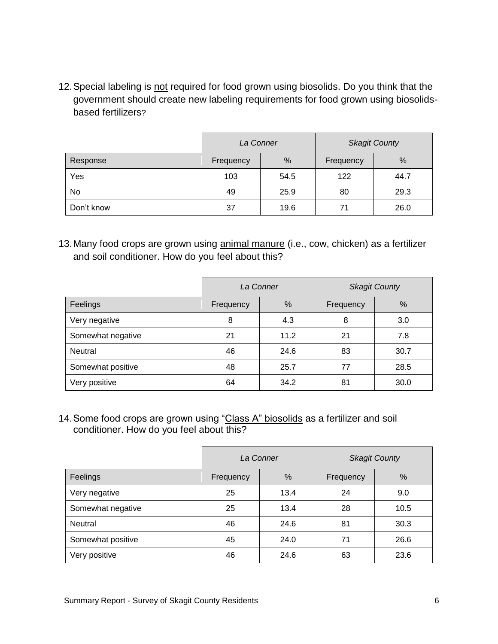12.Special labeling is not required for food grown using biosolids. Do you think that the government should create new labeling requirements for food grown using biosolidsbased fertilizers?

|            | La Conner |      |           | <b>Skagit County</b> |
|------------|-----------|------|-----------|----------------------|
| Response   | Frequency | %    | Frequency | %                    |
| Yes        | 103       | 54.5 | 122       | 44.7                 |
| No         | 49        | 25.9 | 80        | 29.3                 |
| Don't know | 37        | 19.6 | 71        | 26.0                 |

13. Many food crops are grown using animal manure (i.e., cow, chicken) as a fertilizer and soil conditioner. How do you feel about this?

|                   | La Conner |      | <b>Skagit County</b> |      |
|-------------------|-----------|------|----------------------|------|
| Feelings          | Frequency | $\%$ | Frequency            | %    |
| Very negative     | 8         | 4.3  | 8                    | 3.0  |
| Somewhat negative | 21        | 11.2 | 21                   | 7.8  |
| <b>Neutral</b>    | 46        | 24.6 | 83                   | 30.7 |
| Somewhat positive | 48        | 25.7 | 77                   | 28.5 |
| Very positive     | 64        | 34.2 | 81                   | 30.0 |

14. Some food crops are grown using "Class A" biosolids as a fertilizer and soil conditioner. How do you feel about this?

|                   | La Conner |      |           | <b>Skagit County</b> |
|-------------------|-----------|------|-----------|----------------------|
| Feelings          | Frequency | $\%$ | Frequency | %                    |
| Very negative     | 25        | 13.4 | 24        | 9.0                  |
| Somewhat negative | 25        | 13.4 | 28        | 10.5                 |
| Neutral           | 46        | 24.6 | 81        | 30.3                 |
| Somewhat positive | 45        | 24.0 | 71        | 26.6                 |
| Very positive     | 46        | 24.6 | 63        | 23.6                 |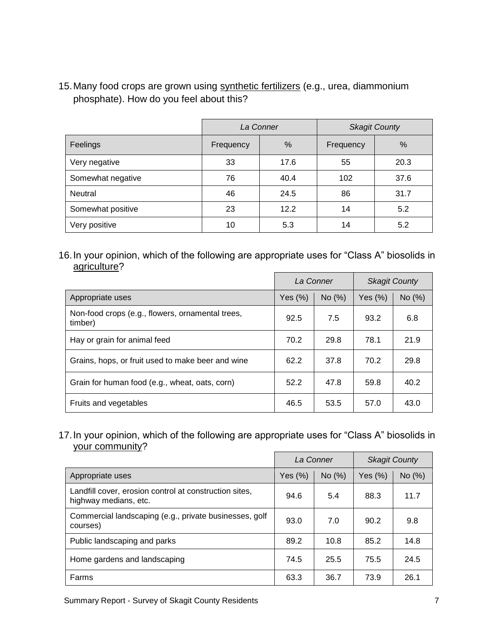15.Many food crops are grown using synthetic fertilizers (e.g., urea, diammonium phosphate). How do you feel about this?

|                   | La Conner |      |           | <b>Skagit County</b> |
|-------------------|-----------|------|-----------|----------------------|
| Feelings          | Frequency | %    | Frequency | $\%$                 |
| Very negative     | 33        | 17.6 | 55        | 20.3                 |
| Somewhat negative | 76        | 40.4 | 102       | 37.6                 |
| Neutral           | 46        | 24.5 | 86        | 31.7                 |
| Somewhat positive | 23        | 12.2 | 14        | 5.2                  |
| Very positive     | 10        | 5.3  | 14        | 5.2                  |

16.In your opinion, which of the following are appropriate uses for "Class A" biosolids in agriculture?

|                                                             | La Conner  |        |            | <b>Skagit County</b> |
|-------------------------------------------------------------|------------|--------|------------|----------------------|
| Appropriate uses                                            | Yes $(\%)$ | No (%) | Yes $(\%)$ | No (%)               |
| Non-food crops (e.g., flowers, ornamental trees,<br>timber) | 92.5       | 7.5    | 93.2       | 6.8                  |
| Hay or grain for animal feed                                | 70.2       | 29.8   | 78.1       | 21.9                 |
| Grains, hops, or fruit used to make beer and wine           | 62.2       | 37.8   | 70.2       | 29.8                 |
| Grain for human food (e.g., wheat, oats, corn)              | 52.2       | 47.8   | 59.8       | 40.2                 |
| Fruits and vegetables                                       | 46.5       | 53.5   | 57.0       | 43.0                 |

17.In your opinion, which of the following are appropriate uses for "Class A" biosolids in your community?

|                                                                                 | La Conner  |        |         | <b>Skagit County</b> |
|---------------------------------------------------------------------------------|------------|--------|---------|----------------------|
| Appropriate uses                                                                | Yes $(\%)$ | No (%) | Yes (%) | No (%)               |
| Landfill cover, erosion control at construction sites,<br>highway medians, etc. | 94.6       | 5.4    | 88.3    | 11.7                 |
| Commercial landscaping (e.g., private businesses, golf<br>courses)              | 93.0       | 7.0    | 90.2    | 9.8                  |
| Public landscaping and parks                                                    | 89.2       | 10.8   | 85.2    | 14.8                 |
| Home gardens and landscaping                                                    | 74.5       | 25.5   | 75.5    | 24.5                 |
| Farms                                                                           | 63.3       | 36.7   | 73.9    | 26.1                 |

Summary Report - Survey of Skagit County Residents 7 7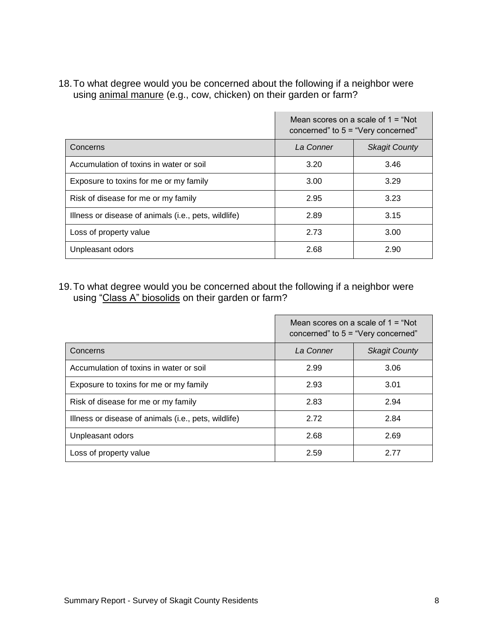18.To what degree would you be concerned about the following if a neighbor were using animal manure (e.g., cow, chicken) on their garden or farm?

|                                                      | Mean scores on a scale of $1 = "Not"$<br>concerned" to 5 = "Very concerned" |                      |  |
|------------------------------------------------------|-----------------------------------------------------------------------------|----------------------|--|
| Concerns                                             | La Conner                                                                   | <b>Skagit County</b> |  |
| Accumulation of toxins in water or soil              | 3.20                                                                        | 3.46                 |  |
| Exposure to toxins for me or my family               | 3.00                                                                        | 3.29                 |  |
| Risk of disease for me or my family                  | 2.95                                                                        | 3.23                 |  |
| Illness or disease of animals (i.e., pets, wildlife) | 2.89                                                                        | 3.15                 |  |
| Loss of property value                               | 2.73                                                                        | 3.00                 |  |
| Unpleasant odors                                     | 2.68                                                                        | 2.90                 |  |

 $\mathcal{L}$ 

19.To what degree would you be concerned about the following if a neighbor were using "Class A" biosolids on their garden or farm?

|                                                      | Mean scores on a scale of $1 = "Not"$<br>concerned" to $5 =$ "Very concerned" |                      |  |
|------------------------------------------------------|-------------------------------------------------------------------------------|----------------------|--|
| Concerns                                             | La Conner                                                                     | <b>Skagit County</b> |  |
| Accumulation of toxins in water or soil              | 2.99                                                                          | 3.06                 |  |
| Exposure to toxins for me or my family               | 2.93                                                                          | 3.01                 |  |
| Risk of disease for me or my family                  | 2.83                                                                          | 2.94                 |  |
| Illness or disease of animals (i.e., pets, wildlife) | 2.72                                                                          | 2.84                 |  |
| Unpleasant odors                                     | 2.68                                                                          | 2.69                 |  |
| Loss of property value                               | 2.59                                                                          | 2.77                 |  |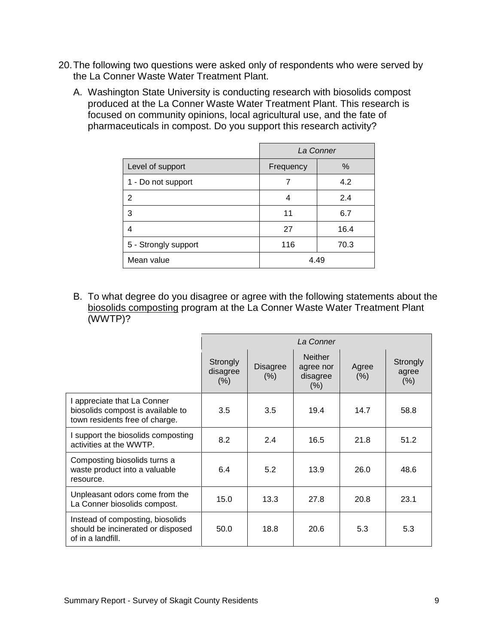- 20.The following two questions were asked only of respondents who were served by the La Conner Waste Water Treatment Plant.
	- A. Washington State University is conducting research with biosolids compost produced at the La Conner Waste Water Treatment Plant. This research is focused on community opinions, local agricultural use, and the fate of pharmaceuticals in compost. Do you support this research activity?

|                      | La Conner         |      |  |
|----------------------|-------------------|------|--|
| Level of support     | $\%$<br>Frequency |      |  |
| 1 - Do not support   |                   | 4.2  |  |
| 2                    | 4                 | 2.4  |  |
| 3                    | 11                | 6.7  |  |
| 4                    | 27                | 16.4 |  |
| 5 - Strongly support | 116               | 70.3 |  |
| Mean value           | 4.49              |      |  |

B. To what degree do you disagree or agree with the following statements about the biosolids composting program at the La Conner Waste Water Treatment Plant (WWTP)?

|                                                                                                    | La Conner                       |                         |                                                    |               |                           |  |
|----------------------------------------------------------------------------------------------------|---------------------------------|-------------------------|----------------------------------------------------|---------------|---------------------------|--|
|                                                                                                    | Strongly<br>disagree<br>$(\% )$ | <b>Disagree</b><br>(% ) | <b>Neither</b><br>agree nor<br>disagree<br>$(\% )$ | Agree<br>(% ) | Strongly<br>agree<br>(% ) |  |
| I appreciate that La Conner<br>biosolids compost is available to<br>town residents free of charge. | 3.5                             | 3.5                     | 19.4                                               | 14.7          | 58.8                      |  |
| I support the biosolids composting<br>activities at the WWTP.                                      | 8.2                             | 2.4                     | 16.5                                               | 21.8          | 51.2                      |  |
| Composting biosolids turns a<br>waste product into a valuable<br>resource.                         | 6.4                             | 5.2                     | 13.9                                               | 26.0          | 48.6                      |  |
| Unpleasant odors come from the<br>La Conner biosolids compost.                                     | 15.0                            | 13.3                    | 27.8                                               | 20.8          | 23.1                      |  |
| Instead of composting, biosolids<br>should be incinerated or disposed<br>of in a landfill.         | 50.0                            | 18.8                    | 20.6                                               | 5.3           | 5.3                       |  |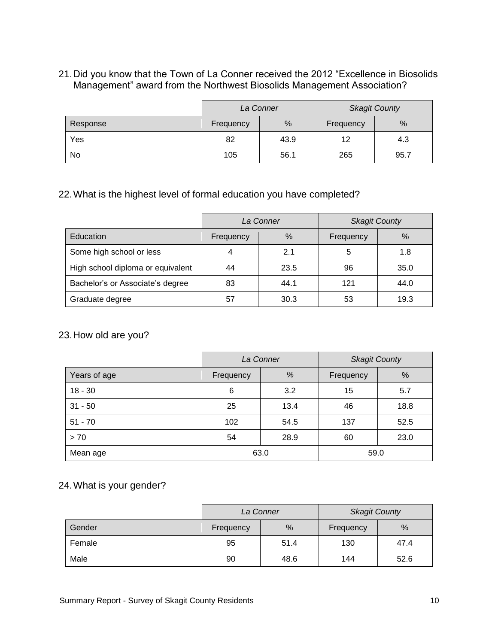#### 21.Did you know that the Town of La Conner received the 2012 "Excellence in Biosolids Management" award from the Northwest Biosolids Management Association?

|          | La Conner |                |     | <b>Skagit County</b> |
|----------|-----------|----------------|-----|----------------------|
| Response | Frequency | %<br>Frequency |     | %                    |
| Yes      | 82        | 43.9           | 12  | 4.3                  |
| No       | 105       | 56.1           | 265 | 95.7                 |

## 22.What is the highest level of formal education you have completed?

|                                   | La Conner |      | <b>Skagit County</b> |      |
|-----------------------------------|-----------|------|----------------------|------|
| Education                         | Frequency | %    | Frequency            | $\%$ |
| Some high school or less          | 4         | 2.1  | 5                    | 1.8  |
| High school diploma or equivalent | 44        | 23.5 | 96                   | 35.0 |
| Bachelor's or Associate's degree  | 83        | 44.1 | 121                  | 44.0 |
| Graduate degree                   | 57        | 30.3 | 53                   | 19.3 |

#### 23.How old are you?

|              | La Conner |      | <b>Skagit County</b> |      |
|--------------|-----------|------|----------------------|------|
| Years of age | Frequency | %    | Frequency            | %    |
| $18 - 30$    | 6         | 3.2  | 15                   | 5.7  |
| $31 - 50$    | 25        | 13.4 | 46                   | 18.8 |
| $51 - 70$    | 102       | 54.5 | 137                  | 52.5 |
| > 70         | 54        | 28.9 | 60                   | 23.0 |
| Mean age     | 63.0      |      | 59.0                 |      |

# 24.What is your gender?

|        | La Conner |      | <b>Skagit County</b> |      |
|--------|-----------|------|----------------------|------|
| Gender | Frequency | %    | Frequency            | $\%$ |
| Female | 95        | 51.4 | 130                  | 47.4 |
| Male   | 90        | 48.6 | 144                  | 52.6 |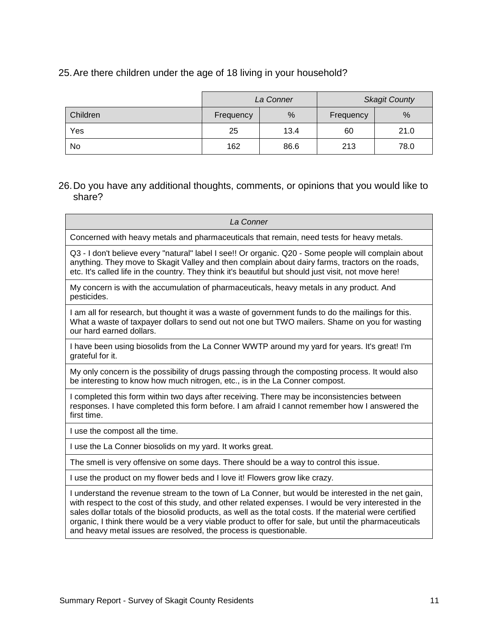#### 25.Are there children under the age of 18 living in your household?

|          | La Conner |      | <b>Skagit County</b> |      |
|----------|-----------|------|----------------------|------|
| Children | Frequency | %    | Frequency            | %    |
| Yes      | 25        | 13.4 | 60                   | 21.0 |
| No       | 162       | 86.6 | 213                  | 78.0 |

## 26.Do you have any additional thoughts, comments, or opinions that you would like to share?

| La Conner                                                                                                                                                                                                                                                                                                                                                                                                                                                                                              |
|--------------------------------------------------------------------------------------------------------------------------------------------------------------------------------------------------------------------------------------------------------------------------------------------------------------------------------------------------------------------------------------------------------------------------------------------------------------------------------------------------------|
| Concerned with heavy metals and pharmaceuticals that remain, need tests for heavy metals.                                                                                                                                                                                                                                                                                                                                                                                                              |
| Q3 - I don't believe every "natural" label I see!! Or organic. Q20 - Some people will complain about<br>anything. They move to Skagit Valley and then complain about dairy farms, tractors on the roads,<br>etc. It's called life in the country. They think it's beautiful but should just visit, not move here!                                                                                                                                                                                      |
| My concern is with the accumulation of pharmaceuticals, heavy metals in any product. And<br>pesticides.                                                                                                                                                                                                                                                                                                                                                                                                |
| I am all for research, but thought it was a waste of government funds to do the mailings for this.<br>What a waste of taxpayer dollars to send out not one but TWO mailers. Shame on you for wasting<br>our hard earned dollars.                                                                                                                                                                                                                                                                       |
| I have been using biosolids from the La Conner WWTP around my yard for years. It's great! I'm<br>grateful for it.                                                                                                                                                                                                                                                                                                                                                                                      |
| My only concern is the possibility of drugs passing through the composting process. It would also<br>be interesting to know how much nitrogen, etc., is in the La Conner compost.                                                                                                                                                                                                                                                                                                                      |
| I completed this form within two days after receiving. There may be inconsistencies between<br>responses. I have completed this form before. I am afraid I cannot remember how I answered the<br>first time.                                                                                                                                                                                                                                                                                           |
| I use the compost all the time.                                                                                                                                                                                                                                                                                                                                                                                                                                                                        |
| I use the La Conner biosolids on my yard. It works great.                                                                                                                                                                                                                                                                                                                                                                                                                                              |
| The smell is very offensive on some days. There should be a way to control this issue.                                                                                                                                                                                                                                                                                                                                                                                                                 |
| I use the product on my flower beds and I love it! Flowers grow like crazy.                                                                                                                                                                                                                                                                                                                                                                                                                            |
| I understand the revenue stream to the town of La Conner, but would be interested in the net gain,<br>with respect to the cost of this study, and other related expenses. I would be very interested in the<br>sales dollar totals of the biosolid products, as well as the total costs. If the material were certified<br>organic, I think there would be a very viable product to offer for sale, but until the pharmaceuticals<br>and heavy metal issues are resolved, the process is questionable. |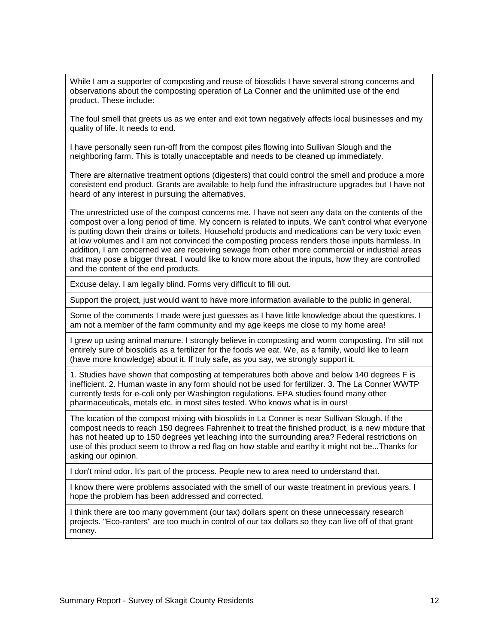While I am a supporter of composting and reuse of biosolids I have several strong concerns and observations about the composting operation of La Conner and the unlimited use of the end product. These include:

The foul smell that greets us as we enter and exit town negatively affects local businesses and my quality of life. It needs to end.

I have personally seen run-off from the compost piles flowing into Sullivan Slough and the neighboring farm. This is totally unacceptable and needs to be cleaned up immediately.

There are alternative treatment options (digesters) that could control the smell and produce a more consistent end product. Grants are available to help fund the infrastructure upgrades but I have not heard of any interest in pursuing the alternatives.

The unrestricted use of the compost concerns me. I have not seen any data on the contents of the compost over a long period of time. My concern is related to inputs. We can't control what everyone is putting down their drains or toilets. Household products and medications can be very toxic even at low volumes and I am not convinced the composting process renders those inputs harmless. In addition, I am concerned we are receiving sewage from other more commercial or industrial areas that may pose a bigger threat. I would like to know more about the inputs, how they are controlled and the content of the end products.

Excuse delay. I am legally blind. Forms very difficult to fill out.

Support the project, just would want to have more information available to the public in general.

Some of the comments I made were just guesses as I have little knowledge about the questions. I am not a member of the farm community and my age keeps me close to my home area!

I grew up using animal manure. I strongly believe in composting and worm composting. I'm still not entirely sure of biosolids as a fertilizer for the foods we eat. We, as a family, would like to learn (have more knowledge) about it. If truly safe, as you say, we strongly support it.

1. Studies have shown that composting at temperatures both above and below 140 degrees F is inefficient. 2. Human waste in any form should not be used for fertilizer. 3. The La Conner WWTP currently tests for e-coli only per Washington regulations. EPA studies found many other pharmaceuticals, metals etc. in most sites tested. Who knows what is in ours!

The location of the compost mixing with biosolids in La Conner is near Sullivan Slough. If the compost needs to reach 150 degrees Fahrenheit to treat the finished product, is a new mixture that has not heated up to 150 degrees yet leaching into the surrounding area? Federal restrictions on use of this product seem to throw a red flag on how stable and earthy it might not be...Thanks for asking our opinion.

I don't mind odor. It's part of the process. People new to area need to understand that.

I know there were problems associated with the smell of our waste treatment in previous years. I hope the problem has been addressed and corrected.

I think there are too many government (our tax) dollars spent on these unnecessary research projects. "Eco-ranters" are too much in control of our tax dollars so they can live off of that grant money.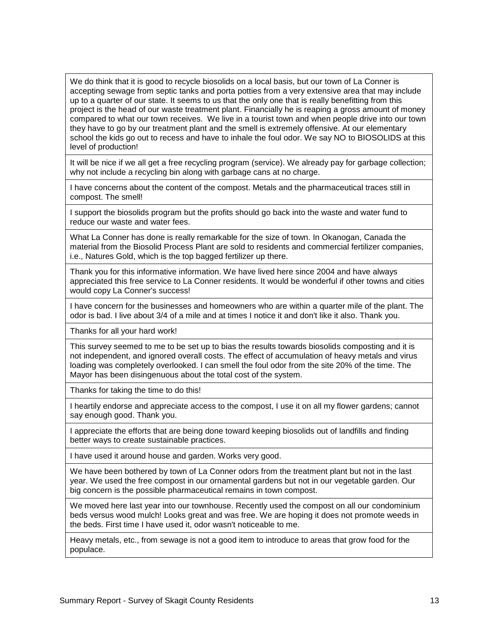We do think that it is good to recycle biosolids on a local basis, but our town of La Conner is accepting sewage from septic tanks and porta potties from a very extensive area that may include up to a quarter of our state. It seems to us that the only one that is really benefitting from this project is the head of our waste treatment plant. Financially he is reaping a gross amount of money compared to what our town receives. We live in a tourist town and when people drive into our town they have to go by our treatment plant and the smell is extremely offensive. At our elementary school the kids go out to recess and have to inhale the foul odor. We say NO to BIOSOLIDS at this level of production!

It will be nice if we all get a free recycling program (service). We already pay for garbage collection; why not include a recycling bin along with garbage cans at no charge.

I have concerns about the content of the compost. Metals and the pharmaceutical traces still in compost. The smell!

I support the biosolids program but the profits should go back into the waste and water fund to reduce our waste and water fees.

What La Conner has done is really remarkable for the size of town. In Okanogan, Canada the material from the Biosolid Process Plant are sold to residents and commercial fertilizer companies, i.e., Natures Gold, which is the top bagged fertilizer up there.

Thank you for this informative information. We have lived here since 2004 and have always appreciated this free service to La Conner residents. It would be wonderful if other towns and cities would copy La Conner's success!

I have concern for the businesses and homeowners who are within a quarter mile of the plant. The odor is bad. I live about 3/4 of a mile and at times I notice it and don't like it also. Thank you.

Thanks for all your hard work!

This survey seemed to me to be set up to bias the results towards biosolids composting and it is not independent, and ignored overall costs. The effect of accumulation of heavy metals and virus loading was completely overlooked. I can smell the foul odor from the site 20% of the time. The Mayor has been disingenuous about the total cost of the system.

Thanks for taking the time to do this!

I heartily endorse and appreciate access to the compost, I use it on all my flower gardens; cannot say enough good. Thank you.

I appreciate the efforts that are being done toward keeping biosolids out of landfills and finding better ways to create sustainable practices.

I have used it around house and garden. Works very good.

We have been bothered by town of La Conner odors from the treatment plant but not in the last year. We used the free compost in our ornamental gardens but not in our vegetable garden. Our big concern is the possible pharmaceutical remains in town compost.

We moved here last year into our townhouse. Recently used the compost on all our condominium beds versus wood mulch! Looks great and was free. We are hoping it does not promote weeds in the beds. First time I have used it, odor wasn't noticeable to me.

Heavy metals, etc., from sewage is not a good item to introduce to areas that grow food for the populace.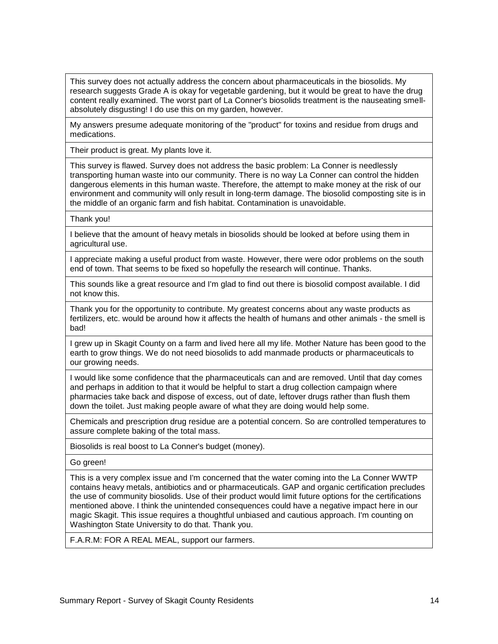This survey does not actually address the concern about pharmaceuticals in the biosolids. My research suggests Grade A is okay for vegetable gardening, but it would be great to have the drug content really examined. The worst part of La Conner's biosolids treatment is the nauseating smellabsolutely disgusting! I do use this on my garden, however.

My answers presume adequate monitoring of the "product" for toxins and residue from drugs and medications.

Their product is great. My plants love it.

This survey is flawed. Survey does not address the basic problem: La Conner is needlessly transporting human waste into our community. There is no way La Conner can control the hidden dangerous elements in this human waste. Therefore, the attempt to make money at the risk of our environment and community will only result in long-term damage. The biosolid composting site is in the middle of an organic farm and fish habitat. Contamination is unavoidable.

Thank you!

I believe that the amount of heavy metals in biosolids should be looked at before using them in agricultural use.

I appreciate making a useful product from waste. However, there were odor problems on the south end of town. That seems to be fixed so hopefully the research will continue. Thanks.

This sounds like a great resource and I'm glad to find out there is biosolid compost available. I did not know this.

Thank you for the opportunity to contribute. My greatest concerns about any waste products as fertilizers, etc. would be around how it affects the health of humans and other animals - the smell is bad!

I grew up in Skagit County on a farm and lived here all my life. Mother Nature has been good to the earth to grow things. We do not need biosolids to add manmade products or pharmaceuticals to our growing needs.

I would like some confidence that the pharmaceuticals can and are removed. Until that day comes and perhaps in addition to that it would be helpful to start a drug collection campaign where pharmacies take back and dispose of excess, out of date, leftover drugs rather than flush them down the toilet. Just making people aware of what they are doing would help some.

Chemicals and prescription drug residue are a potential concern. So are controlled temperatures to assure complete baking of the total mass.

Biosolids is real boost to La Conner's budget (money).

Go green!

This is a very complex issue and I'm concerned that the water coming into the La Conner WWTP contains heavy metals, antibiotics and or pharmaceuticals. GAP and organic certification precludes the use of community biosolids. Use of their product would limit future options for the certifications mentioned above. I think the unintended consequences could have a negative impact here in our magic Skagit. This issue requires a thoughtful unbiased and cautious approach. I'm counting on Washington State University to do that. Thank you.

F.A.R.M: FOR A REAL MEAL, support our farmers.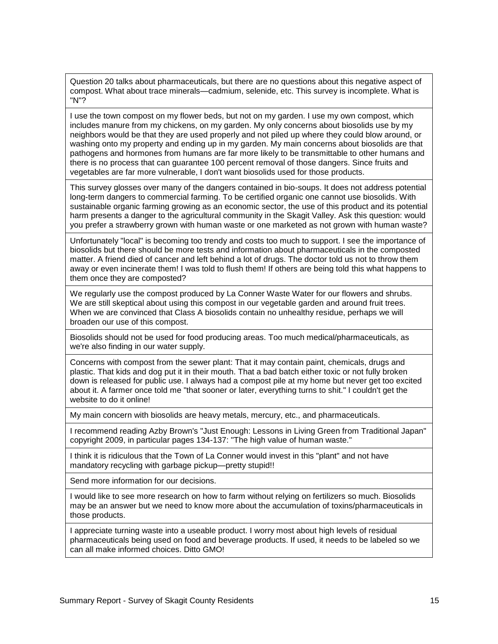Question 20 talks about pharmaceuticals, but there are no questions about this negative aspect of compost. What about trace minerals—cadmium, selenide, etc. This survey is incomplete. What is "N"?

I use the town compost on my flower beds, but not on my garden. I use my own compost, which includes manure from my chickens, on my garden. My only concerns about biosolids use by my neighbors would be that they are used properly and not piled up where they could blow around, or washing onto my property and ending up in my garden. My main concerns about biosolids are that pathogens and hormones from humans are far more likely to be transmittable to other humans and there is no process that can guarantee 100 percent removal of those dangers. Since fruits and vegetables are far more vulnerable, I don't want biosolids used for those products.

This survey glosses over many of the dangers contained in bio-soups. It does not address potential long-term dangers to commercial farming. To be certified organic one cannot use biosolids. With sustainable organic farming growing as an economic sector, the use of this product and its potential harm presents a danger to the agricultural community in the Skagit Valley. Ask this question: would you prefer a strawberry grown with human waste or one marketed as not grown with human waste?

Unfortunately "local" is becoming too trendy and costs too much to support. I see the importance of biosolids but there should be more tests and information about pharmaceuticals in the composted matter. A friend died of cancer and left behind a lot of drugs. The doctor told us not to throw them away or even incinerate them! I was told to flush them! If others are being told this what happens to them once they are composted?

We regularly use the compost produced by La Conner Waste Water for our flowers and shrubs. We are still skeptical about using this compost in our vegetable garden and around fruit trees. When we are convinced that Class A biosolids contain no unhealthy residue, perhaps we will broaden our use of this compost.

Biosolids should not be used for food producing areas. Too much medical/pharmaceuticals, as we're also finding in our water supply.

Concerns with compost from the sewer plant: That it may contain paint, chemicals, drugs and plastic. That kids and dog put it in their mouth. That a bad batch either toxic or not fully broken down is released for public use. I always had a compost pile at my home but never get too excited about it. A farmer once told me "that sooner or later, everything turns to shit." I couldn't get the website to do it online!

My main concern with biosolids are heavy metals, mercury, etc., and pharmaceuticals.

I recommend reading Azby Brown's "Just Enough: Lessons in Living Green from Traditional Japan" copyright 2009, in particular pages 134-137: "The high value of human waste."

I think it is ridiculous that the Town of La Conner would invest in this "plant" and not have mandatory recycling with garbage pickup—pretty stupid!!

Send more information for our decisions.

I would like to see more research on how to farm without relying on fertilizers so much. Biosolids may be an answer but we need to know more about the accumulation of toxins/pharmaceuticals in those products.

I appreciate turning waste into a useable product. I worry most about high levels of residual pharmaceuticals being used on food and beverage products. If used, it needs to be labeled so we can all make informed choices. Ditto GMO!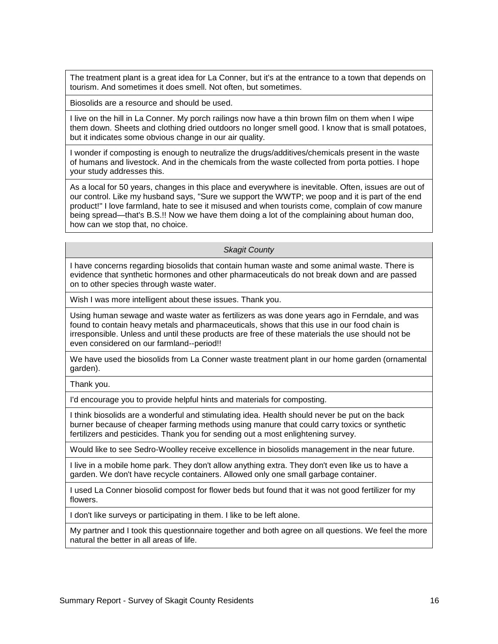The treatment plant is a great idea for La Conner, but it's at the entrance to a town that depends on tourism. And sometimes it does smell. Not often, but sometimes.

Biosolids are a resource and should be used.

I live on the hill in La Conner. My porch railings now have a thin brown film on them when I wipe them down. Sheets and clothing dried outdoors no longer smell good. I know that is small potatoes, but it indicates some obvious change in our air quality.

I wonder if composting is enough to neutralize the drugs/additives/chemicals present in the waste of humans and livestock. And in the chemicals from the waste collected from porta potties. I hope your study addresses this.

As a local for 50 years, changes in this place and everywhere is inevitable. Often, issues are out of our control. Like my husband says, "Sure we support the WWTP; we poop and it is part of the end product!" I love farmland, hate to see it misused and when tourists come, complain of cow manure being spread—that's B.S.!! Now we have them doing a lot of the complaining about human doo, how can we stop that, no choice.

*Skagit County*

I have concerns regarding biosolids that contain human waste and some animal waste. There is evidence that synthetic hormones and other pharmaceuticals do not break down and are passed on to other species through waste water.

Wish I was more intelligent about these issues. Thank you.

Using human sewage and waste water as fertilizers as was done years ago in Ferndale, and was found to contain heavy metals and pharmaceuticals, shows that this use in our food chain is irresponsible. Unless and until these products are free of these materials the use should not be even considered on our farmland--period!!

We have used the biosolids from La Conner waste treatment plant in our home garden (ornamental garden).

Thank you.

I'd encourage you to provide helpful hints and materials for composting.

I think biosolids are a wonderful and stimulating idea. Health should never be put on the back burner because of cheaper farming methods using manure that could carry toxics or synthetic fertilizers and pesticides. Thank you for sending out a most enlightening survey.

Would like to see Sedro-Woolley receive excellence in biosolids management in the near future.

I live in a mobile home park. They don't allow anything extra. They don't even like us to have a garden. We don't have recycle containers. Allowed only one small garbage container.

I used La Conner biosolid compost for flower beds but found that it was not good fertilizer for my flowers.

I don't like surveys or participating in them. I like to be left alone.

My partner and I took this questionnaire together and both agree on all questions. We feel the more natural the better in all areas of life.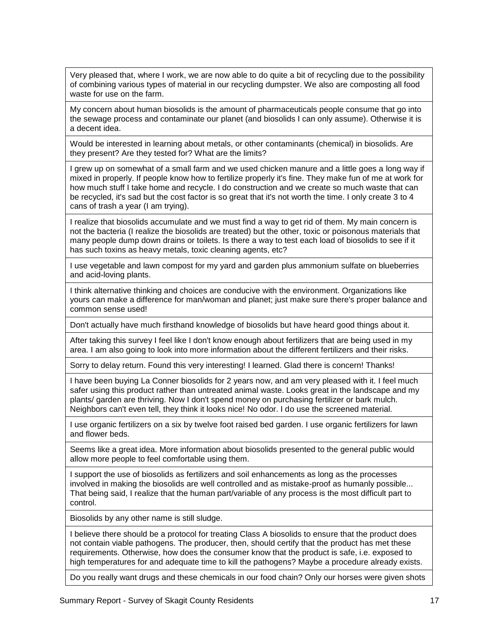Very pleased that, where I work, we are now able to do quite a bit of recycling due to the possibility of combining various types of material in our recycling dumpster. We also are composting all food waste for use on the farm.

My concern about human biosolids is the amount of pharmaceuticals people consume that go into the sewage process and contaminate our planet (and biosolids I can only assume). Otherwise it is a decent idea.

Would be interested in learning about metals, or other contaminants (chemical) in biosolids. Are they present? Are they tested for? What are the limits?

I grew up on somewhat of a small farm and we used chicken manure and a little goes a long way if mixed in properly. If people know how to fertilize properly it's fine. They make fun of me at work for how much stuff I take home and recycle. I do construction and we create so much waste that can be recycled, it's sad but the cost factor is so great that it's not worth the time. I only create 3 to 4 cans of trash a year (I am trying).

I realize that biosolids accumulate and we must find a way to get rid of them. My main concern is not the bacteria (I realize the biosolids are treated) but the other, toxic or poisonous materials that many people dump down drains or toilets. Is there a way to test each load of biosolids to see if it has such toxins as heavy metals, toxic cleaning agents, etc?

I use vegetable and lawn compost for my yard and garden plus ammonium sulfate on blueberries and acid-loving plants.

I think alternative thinking and choices are conducive with the environment. Organizations like yours can make a difference for man/woman and planet; just make sure there's proper balance and common sense used!

Don't actually have much firsthand knowledge of biosolids but have heard good things about it.

After taking this survey I feel like I don't know enough about fertilizers that are being used in my area. I am also going to look into more information about the different fertilizers and their risks.

Sorry to delay return. Found this very interesting! I learned. Glad there is concern! Thanks!

I have been buying La Conner biosolids for 2 years now, and am very pleased with it. I feel much safer using this product rather than untreated animal waste. Looks great in the landscape and my plants/ garden are thriving. Now I don't spend money on purchasing fertilizer or bark mulch. Neighbors can't even tell, they think it looks nice! No odor. I do use the screened material.

I use organic fertilizers on a six by twelve foot raised bed garden. I use organic fertilizers for lawn and flower beds.

Seems like a great idea. More information about biosolids presented to the general public would allow more people to feel comfortable using them.

I support the use of biosolids as fertilizers and soil enhancements as long as the processes involved in making the biosolids are well controlled and as mistake-proof as humanly possible... That being said, I realize that the human part/variable of any process is the most difficult part to control.

Biosolids by any other name is still sludge.

I believe there should be a protocol for treating Class A biosolids to ensure that the product does not contain viable pathogens. The producer, then, should certify that the product has met these requirements. Otherwise, how does the consumer know that the product is safe, i.e. exposed to high temperatures for and adequate time to kill the pathogens? Maybe a procedure already exists.

Do you really want drugs and these chemicals in our food chain? Only our horses were given shots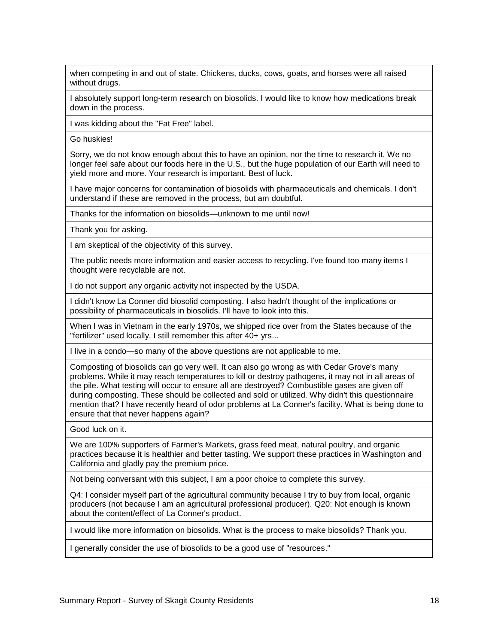when competing in and out of state. Chickens, ducks, cows, goats, and horses were all raised without drugs.

I absolutely support long-term research on biosolids. I would like to know how medications break down in the process.

I was kidding about the "Fat Free" label.

Go huskies!

Sorry, we do not know enough about this to have an opinion, nor the time to research it. We no longer feel safe about our foods here in the U.S., but the huge population of our Earth will need to yield more and more. Your research is important. Best of luck.

I have major concerns for contamination of biosolids with pharmaceuticals and chemicals. I don't understand if these are removed in the process, but am doubtful.

Thanks for the information on biosolids—unknown to me until now!

Thank you for asking.

I am skeptical of the objectivity of this survey.

The public needs more information and easier access to recycling. I've found too many items I thought were recyclable are not.

I do not support any organic activity not inspected by the USDA.

I didn't know La Conner did biosolid composting. I also hadn't thought of the implications or possibility of pharmaceuticals in biosolids. I'll have to look into this.

When I was in Vietnam in the early 1970s, we shipped rice over from the States because of the "fertilizer" used locally. I still remember this after 40+ yrs...

I live in a condo—so many of the above questions are not applicable to me.

Composting of biosolids can go very well. It can also go wrong as with Cedar Grove's many problems. While it may reach temperatures to kill or destroy pathogens, it may not in all areas of the pile. What testing will occur to ensure all are destroyed? Combustible gases are given off during composting. These should be collected and sold or utilized. Why didn't this questionnaire mention that? I have recently heard of odor problems at La Conner's facility. What is being done to ensure that that never happens again?

Good luck on it.

We are 100% supporters of Farmer's Markets, grass feed meat, natural poultry, and organic practices because it is healthier and better tasting. We support these practices in Washington and California and gladly pay the premium price.

Not being conversant with this subject, I am a poor choice to complete this survey.

Q4: I consider myself part of the agricultural community because I try to buy from local, organic producers (not because I am an agricultural professional producer). Q20: Not enough is known about the content/effect of La Conner's product.

I would like more information on biosolids. What is the process to make biosolids? Thank you.

I generally consider the use of biosolids to be a good use of "resources."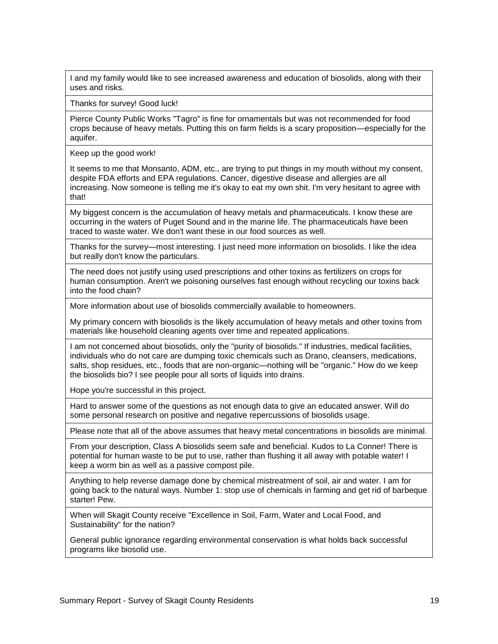I and my family would like to see increased awareness and education of biosolids, along with their uses and risks.

Thanks for survey! Good luck!

Pierce County Public Works "Tagro" is fine for ornamentals but was not recommended for food crops because of heavy metals. Putting this on farm fields is a scary proposition—especially for the aquifer.

Keep up the good work!

It seems to me that Monsanto, ADM, etc., are trying to put things in my mouth without my consent, despite FDA efforts and EPA regulations. Cancer, digestive disease and allergies are all increasing. Now someone is telling me it's okay to eat my own shit. I'm very hesitant to agree with that!

My biggest concern is the accumulation of heavy metals and pharmaceuticals. I know these are occurring in the waters of Puget Sound and in the marine life. The pharmaceuticals have been traced to waste water. We don't want these in our food sources as well.

Thanks for the survey—most interesting. I just need more information on biosolids. I like the idea but really don't know the particulars.

The need does not justify using used prescriptions and other toxins as fertilizers on crops for human consumption. Aren't we poisoning ourselves fast enough without recycling our toxins back into the food chain?

More information about use of biosolids commercially available to homeowners.

My primary concern with biosolids is the likely accumulation of heavy metals and other toxins from materials like household cleaning agents over time and repeated applications.

I am not concerned about biosolids, only the "purity of biosolids." If industries, medical facilities, individuals who do not care are dumping toxic chemicals such as Drano, cleansers, medications, salts, shop residues, etc., foods that are non-organic—nothing will be "organic." How do we keep the biosolids bio? I see people pour all sorts of liquids into drains.

Hope you're successful in this project.

Hard to answer some of the questions as not enough data to give an educated answer. Will do some personal research on positive and negative repercussions of biosolids usage.

Please note that all of the above assumes that heavy metal concentrations in biosolids are minimal.

From your description, Class A biosolids seem safe and beneficial. Kudos to La Conner! There is potential for human waste to be put to use, rather than flushing it all away with potable water! I keep a worm bin as well as a passive compost pile.

Anything to help reverse damage done by chemical mistreatment of soil, air and water. I am for going back to the natural ways. Number 1: stop use of chemicals in farming and get rid of barbeque starter! Pew.

When will Skagit County receive "Excellence in Soil, Farm, Water and Local Food, and Sustainability" for the nation?

General public ignorance regarding environmental conservation is what holds back successful programs like biosolid use.